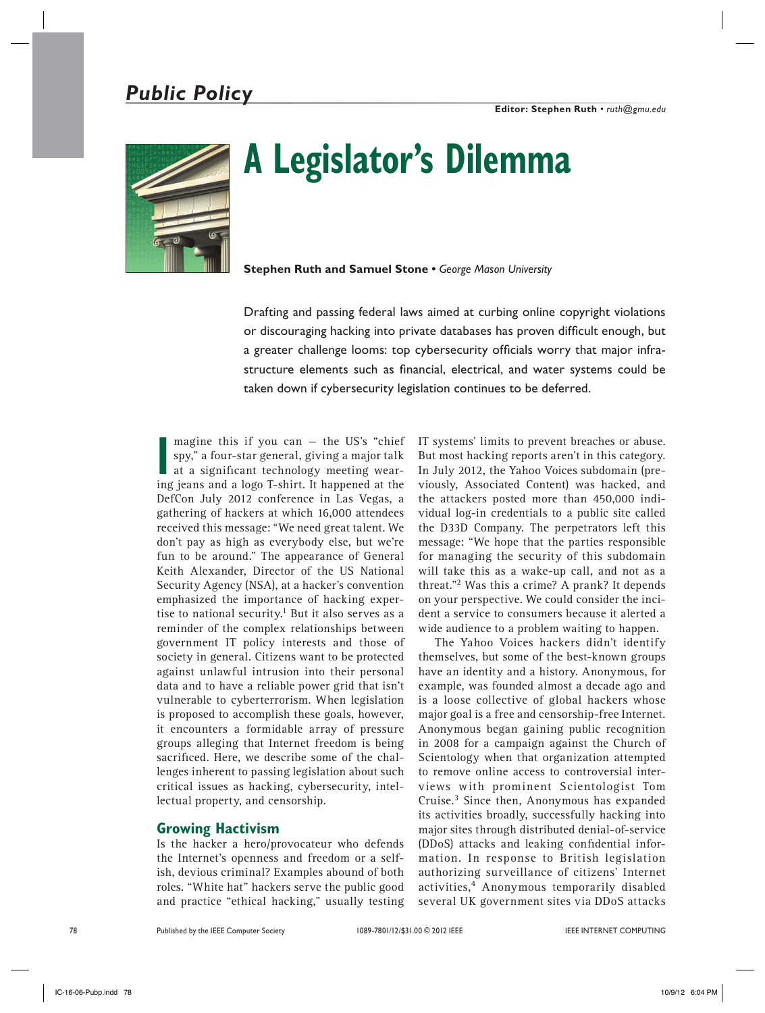# *Public Policy*



# **A Legislator's Dilemma**

**Stephen Ruth and Samuel Stone •** *George Mason University*

Drafting and passing federal laws aimed at curbing online copyright violations or discouraging hacking into private databases has proven difficult enough, but a greater challenge looms: top cybersecurity officials worry that major infrastructure elements such as financial, electrical, and water systems could be taken down if cybersecurity legislation continues to be deferred.

**I** magine this if you can  $-$  the US's "chief spy," a four-star general, giving a major talk at a significant technology meeting wearing jeans and a logo T-shirt. It happened at the DefCon July 2012 conference in Las Vegas, a gathering of hackers at which 16,000 attendees received this message: "We need great talent. We don't pay as high as everybody else, but we're fun to be around." The appearance of General Keith Alexander, Director of the US National Security Agency (NSA), at a hacker's convention emphasized the importance of hacking expertise to national security.<sup>1</sup> But it also serves as a reminder of the complex relationships between government IT policy interests and those of society in general. Citizens want to be protected against unlawful intrusion into their personal data and to have a reliable power grid that isn't vulnerable to cyberterrorism. When legislation is proposed to accomplish these goals, however, it encounters a formidable array of pressure groups alleging that Internet freedom is being sacrificed. Here, we describe some of the challenges inherent to passing legislation about such critical issues as hacking, cybersecurity, intellectual property, and censorship.

#### **Growing Hactivism**

Is the hacker a hero/provocateur who defends the Internet's openness and freedom or a selfish, devious criminal? Examples abound of both roles. "White hat" hackers serve the public good and practice "ethical hacking," usually testing IT systems' limits to prevent breaches or abuse. But most hacking reports aren't in this category. In July 2012, the Yahoo Voices subdomain (previously, Associated Content) was hacked, and the attackers posted more than 450,000 individual log-in credentials to a public site called the D33D Company. The perpetrators left this message: "We hope that the parties responsible for managing the security of this subdomain will take this as a wake-up call, and not as a threat."2 Was this a crime? A prank? It depends on your perspective. We could consider the incident a service to consumers because it alerted a wide audience to a problem waiting to happen.

The Yahoo Voices hackers didn't identify themselves, but some of the best-known groups have an identity and a history. Anonymous, for example, was founded almost a decade ago and is a loose collective of global hackers whose major goal is a free and censorship-free Internet. Anonymous began gaining public recognition in 2008 for a campaign against the Church of Scientology when that organization attempted to remove online access to controversial interviews with prominent Scientologist Tom Cruise.<sup>3</sup> Since then, Anonymous has expanded its activities broadly, successfully hacking into major sites through distributed denial-of-service (DDoS) attacks and leaking confidential information. In response to British legislation authorizing surveillance of citizens' Internet activities,<sup>4</sup> Anonymous temporarily disabled several UK government sites via DDoS attacks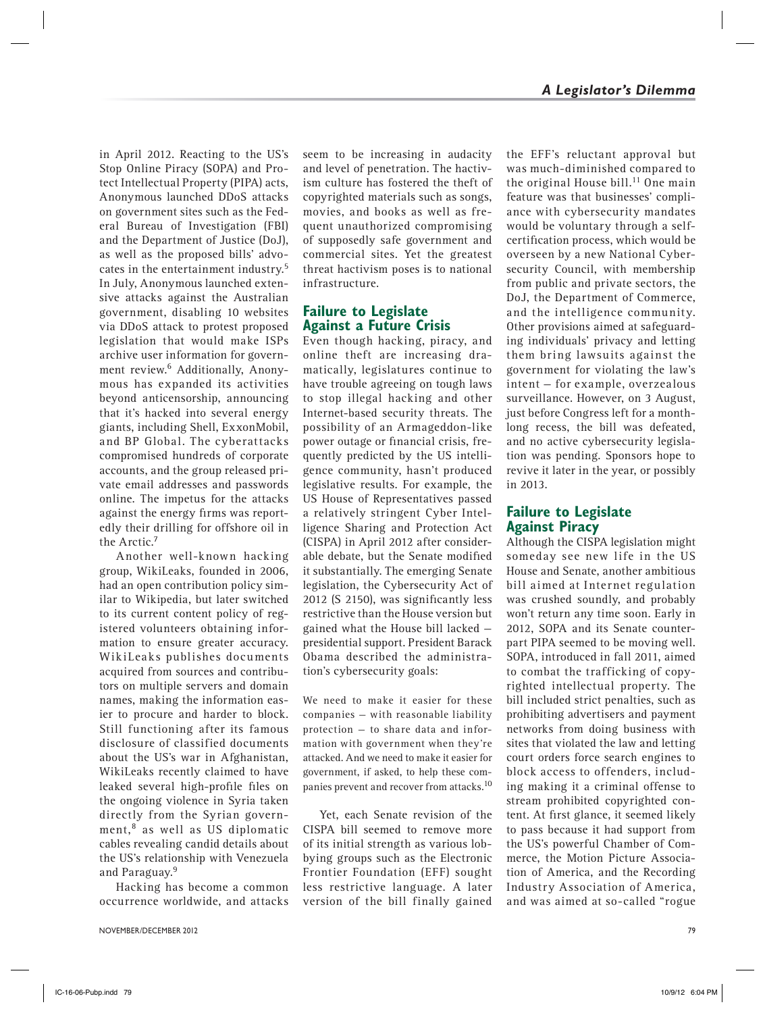in April 2012. Reacting to the US's Stop Online Piracy (SOPA) and Protect Intellectual Property (PIPA) acts, Anonymous launched DDoS attacks on government sites such as the Federal Bureau of Investigation (FBI) and the Department of Justice (DoJ), as well as the proposed bills' advocates in the entertainment industry.<sup>5</sup> In July, Anonymous launched extensive attacks against the Australian government, disabling 10 websites via DDoS attack to protest proposed legislation that would make ISPs archive user information for government review.6 Additionally, Anonymous has expanded its activities beyond anticensorship, announcing that it's hacked into several energy giants, including Shell, ExxonMobil, and BP Global. The cyberattacks compromised hundreds of corporate accounts, and the group released private email addresses and passwords online. The impetus for the attacks against the energy firms was reportedly their drilling for offshore oil in the Arctic.<sup>7</sup>

Another well-known hacking group, WikiLeaks, founded in 2006, had an open contribution policy similar to Wikipedia, but later switched to its current content policy of registered volunteers obtaining information to ensure greater accuracy. WikiLeaks publishes documents acquired from sources and contributors on multiple servers and domain names, making the information easier to procure and harder to block. Still functioning after its famous disclosure of classified documents about the US's war in Afghanistan, WikiLeaks recently claimed to have leaked several high-profile files on the ongoing violence in Syria taken directly from the Syrian government,8 as well as US diplomatic cables revealing candid details about the US's relationship with Venezuela and Paraguay.<sup>9</sup>

Hacking has become a common occurrence worldwide, and attacks seem to be increasing in audacity and level of penetration. The hactivism culture has fostered the theft of copyrighted materials such as songs, movies, and books as well as frequent unauthorized compromising of supposedly safe government and commercial sites. Yet the greatest threat hactivism poses is to national infrastructure.

# **Failure to Legislate Against a Future Crisis**

Even though hacking, piracy, and online theft are increasing dramatically, legislatures continue to have trouble agreeing on tough laws to stop illegal hacking and other Internet-based security threats. The possibility of an Armageddon-like power outage or financial crisis, frequently predicted by the US intelligence community, hasn't produced legislative results. For example, the US House of Representatives passed a relatively stringent Cyber Intelligence Sharing and Protection Act (CISPA) in April 2012 after considerable debate, but the Senate modified it substantially. The emerging Senate legislation, the Cybersecurity Act of 2012 (S 2150), was significantly less restrictive than the House version but gained what the House bill lacked presidential support. President Barack Obama described the administration's cybersecurity goals:

We need to make it easier for these companies — with reasonable liability protection — to share data and information with government when they're attacked. And we need to make it easier for government, if asked, to help these companies prevent and recover from attacks.<sup>10</sup>

Yet, each Senate revision of the CISPA bill seemed to remove more of its initial strength as various lobbying groups such as the Electronic Frontier Foundation (EFF) sought less restrictive language. A later version of the bill finally gained

the EFF's reluctant approval but was much-diminished compared to the original House bill.<sup>11</sup> One main feature was that businesses' compliance with cybersecurity mandates would be voluntary through a selfcertification process, which would be overseen by a new National Cybersecurity Council, with membership from public and private sectors, the DoJ, the Department of Commerce, and the intelligence community. Other provisions aimed at safeguarding individuals' privacy and letting them bring lawsuits against the government for violating the law's intent — for example, overzealous surveillance. However, on 3 August, just before Congress left for a monthlong recess, the bill was defeated, and no active cybersecurity legislation was pending. Sponsors hope to revive it later in the year, or possibly in 2013.

# **Failure to Legislate Against Piracy**

Although the CISPA legislation might someday see new life in the US House and Senate, another ambitious bill aimed at Internet regulation was crushed soundly, and probably won't return any time soon. Early in 2012, SOPA and its Senate counterpart PIPA seemed to be moving well. SOPA, introduced in fall 2011, aimed to combat the trafficking of copyrighted intellectual property. The bill included strict penalties, such as prohibiting advertisers and payment networks from doing business with sites that violated the law and letting court orders force search engines to block access to offenders, including making it a criminal offense to stream prohibited copyrighted content. At first glance, it seemed likely to pass because it had support from the US's powerful Chamber of Commerce, the Motion Picture Association of America, and the Recording Industry Association of America, and was aimed at so-called "rogue

NOVEMBER/DECEMBER 2012 79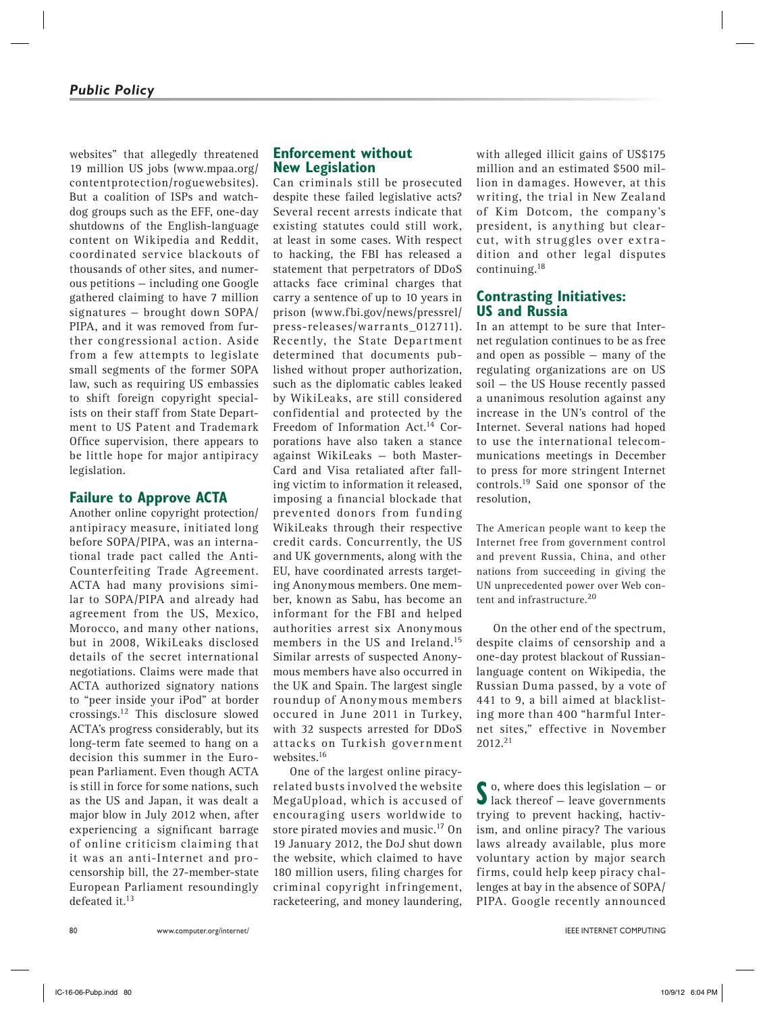websites" that allegedly threatened 19 million US jobs (www.mpaa.org/ contentprotection/roguewebsites). But a coalition of ISPs and watchdog groups such as the EFF, one-day shutdowns of the English-language content on Wikipedia and Reddit, coordinated service blackouts of thousands of other sites, and numerous petitions — including one Google gathered claiming to have 7 million signatures — brought down SOPA/ PIPA, and it was removed from further congressional action. Aside from a few attempts to legislate small segments of the former SOPA law, such as requiring US embassies to shift foreign copyright specialists on their staff from State Department to US Patent and Trademark Office supervision, there appears to be little hope for major antipiracy legislation.

#### **Failure to Approve ACTA**

Another online copyright protection/ antipiracy measure, initiated long before SOPA/PIPA, was an international trade pact called the Anti-Counterfeiting Trade Agreement. ACTA had many provisions similar to SOPA/PIPA and already had agreement from the US, Mexico, Morocco, and many other nations, but in 2008, WikiLeaks disclosed details of the secret international negotiations. Claims were made that ACTA authorized signatory nations to "peer inside your iPod" at border crossings.12 This disclosure slowed ACTA's progress considerably, but its long-term fate seemed to hang on a decision this summer in the European Parliament. Even though ACTA is still in force for some nations, such as the US and Japan, it was dealt a major blow in July 2012 when, after experiencing a significant barrage of online criticism claiming that it was an anti-Internet and procensorship bill, the 27-member-state European Parliament resoundingly defeated it.13

## **Enforcement without New Legislation**

Can criminals still be prosecuted despite these failed legislative acts? Several recent arrests indicate that existing statutes could still work, at least in some cases. With respect to hacking, the FBI has released a statement that perpetrators of DDoS attacks face criminal charges that carry a sentence of up to 10 years in prison (www.fbi.gov/news/pressrel/ press-releases/warrants\_012711). Recently, the State Department determined that documents published without proper authorization, such as the diplomatic cables leaked by WikiLeaks, are still considered confidential and protected by the Freedom of Information Act.<sup>14</sup> Corporations have also taken a stance against WikiLeaks — both Master-Card and Visa retaliated after falling victim to information it released, imposing a financial blockade that prevented donors from funding WikiLeaks through their respective credit cards. Concurrently, the US and UK governments, along with the EU, have coordinated arrests targeting Anonymous members. One member, known as Sabu, has become an informant for the FBI and helped authorities arrest six Anonymous members in the US and Ireland.15 Similar arrests of suspected Anonymous members have also occurred in the UK and Spain. The largest single roundup of Anonymous members occured in June 2011 in Turkey, with 32 suspects arrested for DDoS attacks on Turkish government websites.<sup>16</sup>

One of the largest online piracyrelated busts involved the website MegaUpload, which is accused of encouraging users worldwide to store pirated movies and music.<sup>17</sup> On 19 January 2012, the DoJ shut down the website, which claimed to have 180 million users, filing charges for criminal copyright infringement, racketeering, and money laundering,

with alleged illicit gains of US\$175 million and an estimated \$500 million in damages. However, at this writing, the trial in New Zealand of Kim Dotcom, the company's president, is anything but clearcut, with struggles over extradition and other legal disputes continuing.18

## **Contrasting Initiatives: US and Russia**

In an attempt to be sure that Internet regulation continues to be as free and open as possible — many of the regulating organizations are on US soil — the US House recently passed a unanimous resolution against any increase in the UN's control of the Internet. Several nations had hoped to use the international telecommunications meetings in December to press for more stringent Internet controls.19 Said one sponsor of the resolution,

The American people want to keep the Internet free from government control and prevent Russia, China, and other nations from succeeding in giving the UN unprecedented power over Web content and infrastructure.<sup>20</sup>

On the other end of the spectrum, despite claims of censorship and a one-day protest blackout of Russianlanguage content on Wikipedia, the Russian Duma passed, by a vote of 441 to 9, a bill aimed at blacklisting more than 400 "harmful Internet sites," effective in November 2012.<sup>21</sup>

**S** o, where does this legislation — or lack thereof — leave governments trying to prevent hacking, hactivism, and online piracy? The various laws already available, plus more voluntary action by major search firms, could help keep piracy challenges at bay in the absence of SOPA/ PIPA. Google recently announced